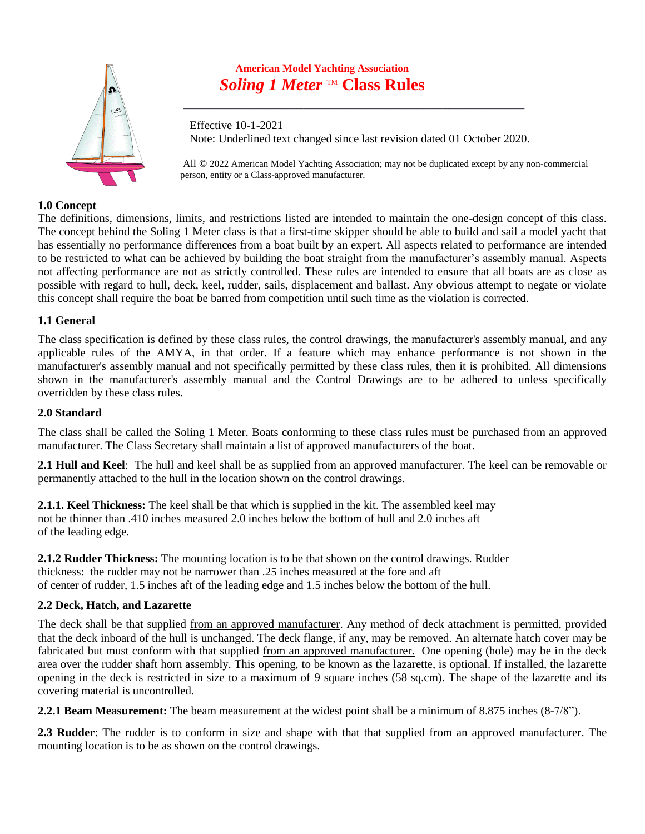

## **American Model Yachting Association Soling 1 Meter** ™ **Class Rules**

 Effective 10-1-2021 Note: Underlined text changed since last revision dated 01 October 2020.

All © 2022 American Model Yachting Association; may not be duplicated except by any non-commercial person, entity or a Class-approved manufacturer.

## **1.0 Concept**

The definitions, dimensions, limits, and restrictions listed are intended to maintain the one-design concept of this class. The concept behind the Soling 1 Meter class is that a first-time skipper should be able to build and sail a model yacht that has essentially no performance differences from a boat built by an expert. All aspects related to performance are intended to be restricted to what can be achieved by building the boat straight from the manufacturer's assembly manual. Aspects not affecting performance are not as strictly controlled. These rules are intended to ensure that all boats are as close as possible with regard to hull, deck, keel, rudder, sails, displacement and ballast. Any obvious attempt to negate or violate this concept shall require the boat be barred from competition until such time as the violation is corrected.

## **1.1 General**

The class specification is defined by these class rules, the control drawings, the manufacturer's assembly manual, and any applicable rules of the AMYA, in that order. If a feature which may enhance performance is not shown in the manufacturer's assembly manual and not specifically permitted by these class rules, then it is prohibited. All dimensions shown in the manufacturer's assembly manual and the Control Drawings are to be adhered to unless specifically overridden by these class rules.

## **2.0 Standard**

The class shall be called the Soling 1 Meter. Boats conforming to these class rules must be purchased from an approved manufacturer. The Class Secretary shall maintain a list of approved manufacturers of the boat.

**2.1 Hull and Keel**: The hull and keel shall be as supplied from an approved manufacturer. The keel can be removable or permanently attached to the hull in the location shown on the control drawings.

**2.1.1. Keel Thickness:** The keel shall be that which is supplied in the kit. The assembled keel may not be thinner than .410 inches measured 2.0 inches below the bottom of hull and 2.0 inches aft of the leading edge.

**2.1.2 Rudder Thickness:** The mounting location is to be that shown on the control drawings. Rudder thickness: the rudder may not be narrower than .25 inches measured at the fore and aft of center of rudder, 1.5 inches aft of the leading edge and 1.5 inches below the bottom of the hull.

## **2.2 Deck, Hatch, and Lazarette**

The deck shall be that supplied from an approved manufacturer. Any method of deck attachment is permitted, provided that the deck inboard of the hull is unchanged. The deck flange, if any, may be removed. An alternate hatch cover may be fabricated but must conform with that supplied from an approved manufacturer. One opening (hole) may be in the deck area over the rudder shaft horn assembly. This opening, to be known as the lazarette, is optional. If installed, the lazarette opening in the deck is restricted in size to a maximum of 9 square inches (58 sq.cm). The shape of the lazarette and its covering material is uncontrolled.

**2.2.1 Beam Measurement:** The beam measurement at the widest point shall be a minimum of 8.875 inches (8-7/8").

**2.3 Rudder**: The rudder is to conform in size and shape with that that supplied from an approved manufacturer. The mounting location is to be as shown on the control drawings.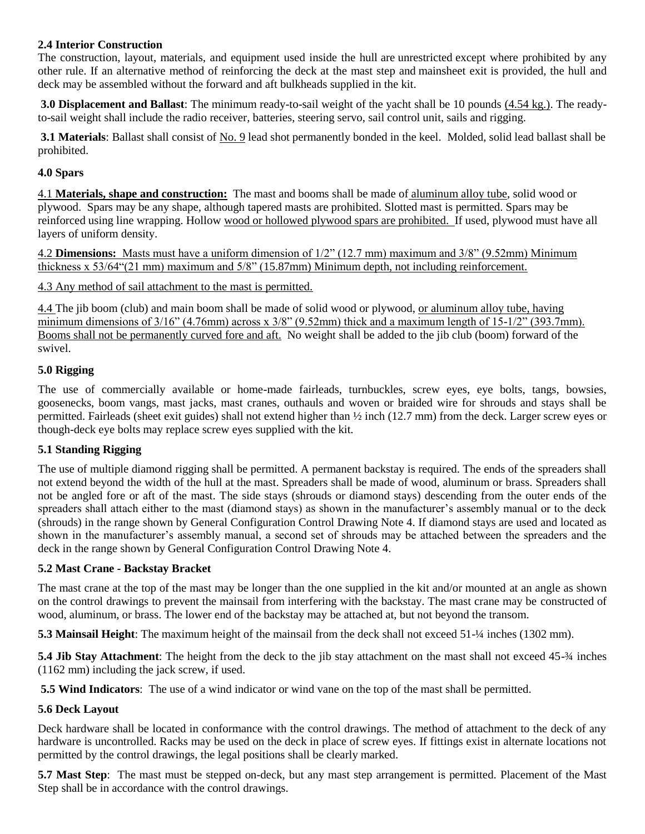### **2.4 Interior Construction**

The construction, layout, materials, and equipment used inside the hull are unrestricted except where prohibited by any other rule. If an alternative method of reinforcing the deck at the mast step and mainsheet exit is provided, the hull and deck may be assembled without the forward and aft bulkheads supplied in the kit.

**3.0 Displacement and Ballast**: The minimum ready-to-sail weight of the yacht shall be 10 pounds (4.54 kg.). The readyto-sail weight shall include the radio receiver, batteries, steering servo, sail control unit, sails and rigging.

**3.1 Materials**: Ballast shall consist of No. 9 lead shot permanently bonded in the keel. Molded, solid lead ballast shall be prohibited.

#### **4.0 Spars**

4.1 **Materials, shape and construction:** The mast and booms shall be made of aluminum alloy tube, solid wood or plywood. Spars may be any shape, although tapered masts are prohibited. Slotted mast is permitted. Spars may be reinforced using line wrapping. Hollow wood or hollowed plywood spars are prohibited. If used, plywood must have all layers of uniform density.

4.2 **Dimensions:** Masts must have a uniform dimension of 1/2" (12.7 mm) maximum and 3/8" (9.52mm) Minimum thickness x 53/64"(21 mm) maximum and 5/8" (15.87mm) Minimum depth, not including reinforcement.

4.3 Any method of sail attachment to the mast is permitted.

4.4 The jib boom (club) and main boom shall be made of solid wood or plywood, <u>or aluminum alloy tube, having</u> minimum dimensions of 3/16" (4.76mm) across x 3/8" (9.52mm) thick and a maximum length of 15-1/2" (393.7mm). Booms shall not be permanently curved fore and aft. No weight shall be added to the jib club (boom) forward of the swivel.

## **5.0 Rigging**

The use of commercially available or home-made fairleads, turnbuckles, screw eyes, eye bolts, tangs, bowsies, goosenecks, boom vangs, mast jacks, mast cranes, outhauls and woven or braided wire for shrouds and stays shall be permitted. Fairleads (sheet exit guides) shall not extend higher than ½ inch (12.7 mm) from the deck. Larger screw eyes or though-deck eye bolts may replace screw eyes supplied with the kit.

## **5.1 Standing Rigging**

The use of multiple diamond rigging shall be permitted. A permanent backstay is required. The ends of the spreaders shall not extend beyond the width of the hull at the mast. Spreaders shall be made of wood, aluminum or brass. Spreaders shall not be angled fore or aft of the mast. The side stays (shrouds or diamond stays) descending from the outer ends of the spreaders shall attach either to the mast (diamond stays) as shown in the manufacturer's assembly manual or to the deck (shrouds) in the range shown by General Configuration Control Drawing Note 4. If diamond stays are used and located as shown in the manufacturer's assembly manual, a second set of shrouds may be attached between the spreaders and the deck in the range shown by General Configuration Control Drawing Note 4.

#### **5.2 Mast Crane - Backstay Bracket**

The mast crane at the top of the mast may be longer than the one supplied in the kit and/or mounted at an angle as shown on the control drawings to prevent the mainsail from interfering with the backstay. The mast crane may be constructed of wood, aluminum, or brass. The lower end of the backstay may be attached at, but not beyond the transom.

**5.3 Mainsail Height**: The maximum height of the mainsail from the deck shall not exceed 51- $\frac{1}{4}$  inches (1302 mm).

**5.4 Jib Stay Attachment**: The height from the deck to the jib stay attachment on the mast shall not exceed 45-<sup>3</sup>⁄4 inches (1162 mm) including the jack screw, if used.

**5.5 Wind Indicators**: The use of a wind indicator or wind vane on the top of the mast shall be permitted.

## **5.6 Deck Layout**

Deck hardware shall be located in conformance with the control drawings. The method of attachment to the deck of any hardware is uncontrolled. Racks may be used on the deck in place of screw eyes. If fittings exist in alternate locations not permitted by the control drawings, the legal positions shall be clearly marked.

**5.7 Mast Step**: The mast must be stepped on-deck, but any mast step arrangement is permitted. Placement of the Mast Step shall be in accordance with the control drawings.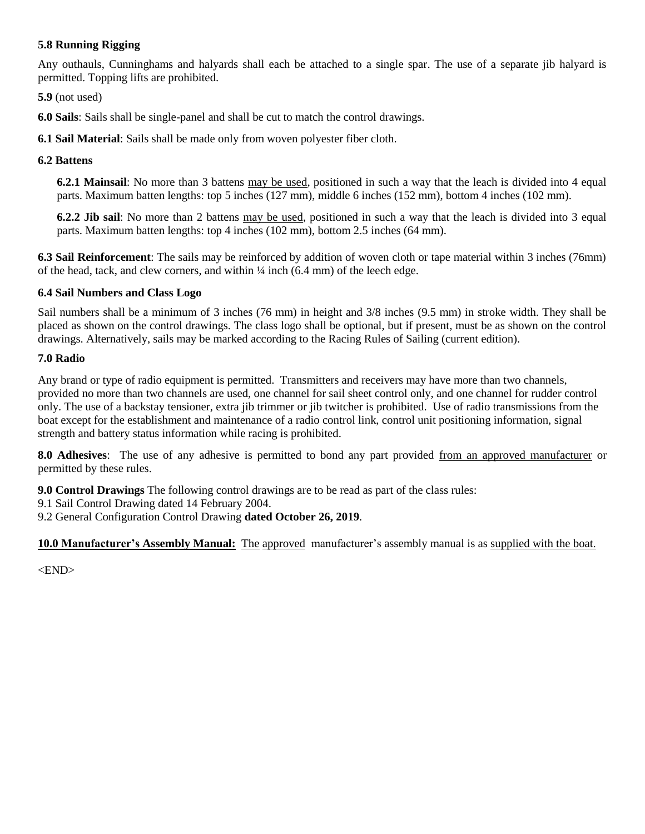## **5.8 Running Rigging**

Any outhauls, Cunninghams and halyards shall each be attached to a single spar. The use of a separate jib halyard is permitted. Topping lifts are prohibited.

**5.9** (not used)

**6.0 Sails**: Sails shall be single-panel and shall be cut to match the control drawings.

**6.1 Sail Material**: Sails shall be made only from woven polyester fiber cloth.

#### **6.2 Battens**

**6.2.1 Mainsail**: No more than 3 battens may be used, positioned in such a way that the leach is divided into 4 equal parts. Maximum batten lengths: top 5 inches (127 mm), middle 6 inches (152 mm), bottom 4 inches (102 mm).

**6.2.2 Jib sail**: No more than 2 battens may be used, positioned in such a way that the leach is divided into 3 equal parts. Maximum batten lengths: top 4 inches (102 mm), bottom 2.5 inches (64 mm).

**6.3 Sail Reinforcement**: The sails may be reinforced by addition of woven cloth or tape material within 3 inches (76mm) of the head, tack, and clew corners, and within  $\frac{1}{4}$  inch (6.4 mm) of the leech edge.

### **6.4 Sail Numbers and Class Logo**

Sail numbers shall be a minimum of 3 inches (76 mm) in height and 3/8 inches (9.5 mm) in stroke width. They shall be placed as shown on the control drawings. The class logo shall be optional, but if present, must be as shown on the control drawings. Alternatively, sails may be marked according to the Racing Rules of Sailing (current edition).

### **7.0 Radio**

Any brand or type of radio equipment is permitted. Transmitters and receivers may have more than two channels, provided no more than two channels are used, one channel for sail sheet control only, and one channel for rudder control only. The use of a backstay tensioner, extra jib trimmer or jib twitcher is prohibited. Use of radio transmissions from the boat except for the establishment and maintenance of a radio control link, control unit positioning information, signal strength and battery status information while racing is prohibited.

**8.0 Adhesives**: The use of any adhesive is permitted to bond any part provided from an approved manufacturer or permitted by these rules.

**9.0 Control Drawings** The following control drawings are to be read as part of the class rules:

9.1 Sail Control Drawing dated 14 February 2004.

9.2 General Configuration Control Drawing **dated October 26, 2019**.

**10.0 Manufacturer's Assembly Manual:** The approved manufacturer's assembly manual is as supplied with the boat.

<END>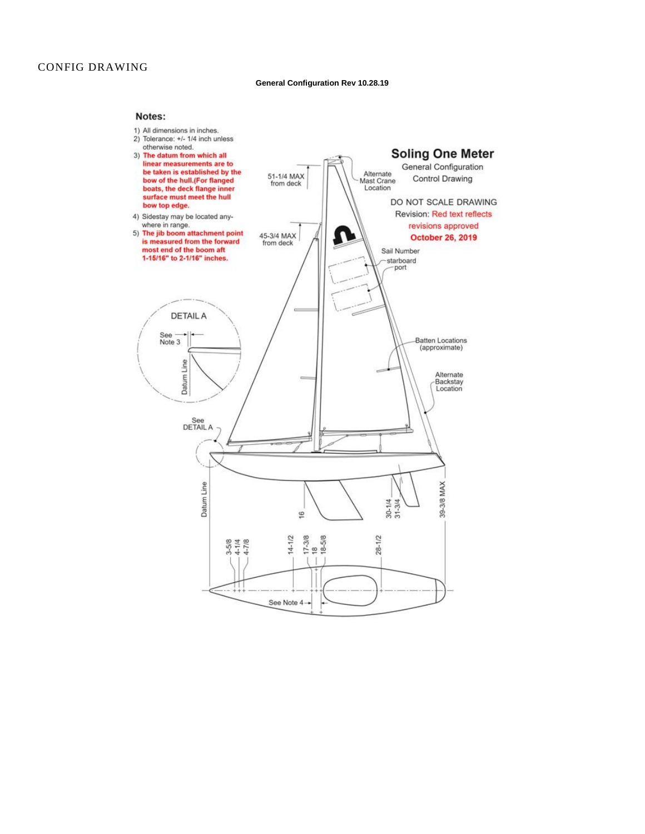#### **General Configuration Rev 10.28.19**